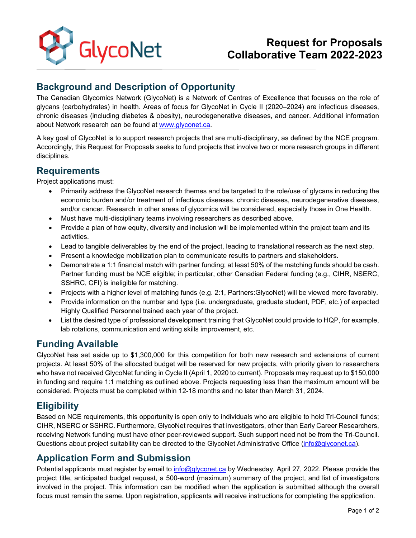

# **Request for Proposals Collaborative Team 2022-2023**

## **Background and Description of Opportunity**

The Canadian Glycomics Network (GlycoNet) is a Network of Centres of Excellence that focuses on the role of glycans (carbohydrates) in health. Areas of focus for GlycoNet in Cycle II (2020–2024) are infectious diseases, chronic diseases (including diabetes & obesity), neurodegenerative diseases, and cancer. Additional information about Network research can be found at [www.glyconet.ca.](http://www.glyconet.ca/)

A key goal of GlycoNet is to support research projects that are multi-disciplinary, as defined by the NCE program. Accordingly, this Request for Proposals seeks to fund projects that involve two or more research groups in different disciplines.

#### **Requirements**

Project applications must:

- Primarily address the GlycoNet research themes and be targeted to the role/use of glycans in reducing the economic burden and/or treatment of infectious diseases, chronic diseases, neurodegenerative diseases, and/or cancer. Research in other areas of glycomics will be considered, especially those in One Health.
- Must have multi-disciplinary teams involving researchers as described above.
- Provide a plan of how equity, diversity and inclusion will be implemented within the project team and its activities.
- Lead to tangible deliverables by the end of the project, leading to translational research as the next step.
- Present a knowledge mobilization plan to communicate results to partners and stakeholders.
- Demonstrate a 1:1 financial match with partner funding; at least 50% of the matching funds should be cash. Partner funding must be NCE eligible; in particular, other Canadian Federal funding (e.g., CIHR, NSERC, SSHRC, CFI) is ineligible for matching.
- Projects with a higher level of matching funds (e.g. 2:1, Partners:GlycoNet) will be viewed more favorably.
- Provide information on the number and type (i.e. undergraduate, graduate student, PDF, etc.) of expected Highly Qualified Personnel trained each year of the project.
- List the desired type of professional development training that GlycoNet could provide to HQP, for example, lab rotations, communication and writing skills improvement, etc.

### **Funding Available**

GlycoNet has set aside up to \$1,300,000 for this competition for both new research and extensions of current projects. At least 50% of the allocated budget will be reserved for new projects, with priority given to researchers who have not received GlycoNet funding in Cycle II (April 1, 2020 to current). Proposals may request up to \$150,000 in funding and require 1:1 matching as outlined above. Projects requesting less than the maximum amount will be considered. Projects must be completed within 12-18 months and no later than March 31, 2024.

### **Eligibility**

Based on NCE requirements, this opportunity is open only to individuals who are eligible to hold Tri-Council funds; CIHR, NSERC or SSHRC. Furthermore, GlycoNet requires that investigators, other than Early Career Researchers, receiving Network funding must have other peer-reviewed support. Such support need not be from the Tri-Council. Questions about project suitability can be directed to the GlycoNet Administrative Office [\(info@glyconet.ca\)](mailto:info@glyconet.ca).

#### **Application Form and Submission**

Potential applicants must register by email to [info@glyconet.ca](mailto:info@glyconet.ca) by Wednesday, April 27, 2022. Please provide the project title, anticipated budget request, a 500-word (maximum) summary of the project, and list of investigators involved in the project. This information can be modified when the application is submitted although the overall focus must remain the same. Upon registration, applicants will receive instructions for completing the application.